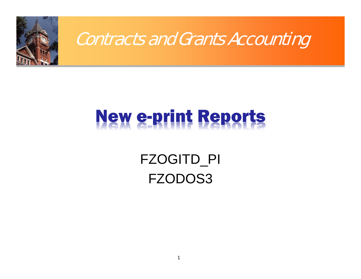

# New e-print Reports

## FZOGITD\_PI FZODOS3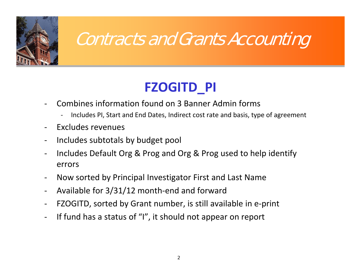

# Contracts and Grants Accounting

### **FZOGITD\_PI**

- Combines information found on 3 Banner Admin forms
	- Includes PI, Start and End Dates, Indirect cost rate and basis, type of agreement
- Excludes revenues
- $\blacksquare$ - Includes subtotals by budget pool
- Includes Default Org & Prog and Org & Prog used to help identify errors
- $\blacksquare$ Now sorted by Principal Investigator First and Last Name
- ‐Available for 3/31/12 month‐end and forward
- FZOGITD, sorted by Grant number, is still available in <sup>e</sup>‐print
- $\blacksquare$ - If fund has a status of "I", it should not appear on report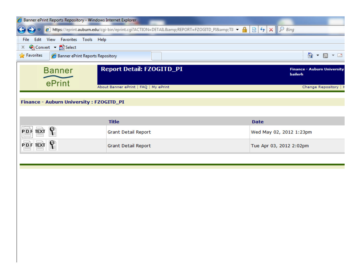| Banner ePrint Reports Repository - Windows Internet Explorer |                                                                                        |                                                                        |
|--------------------------------------------------------------|----------------------------------------------------------------------------------------|------------------------------------------------------------------------|
|                                                              | 2 https://eprint.auburn.edu/cgi-bin/eprint.cgi?ACTION=DETAIL&REPORT=FZOGITD_PI&TII ▼ 4 | $\mathbb{R}$ $\rightarrow$ $\times$ $\mathbb{R}$ $\triangleright$ Bing |
| Edit View Favorites Tools Help<br>File                       |                                                                                        |                                                                        |
| Convert v B. Select<br>x.<br><b>Pavorites</b>                |                                                                                        | △ 10<br>$\mathbf{v}$ $\mathbf{r}$                                      |
| Banner ePrint Reports Repository                             |                                                                                        |                                                                        |
| <b>Banner</b>                                                | <b>Report Detail: FZOGITD_PI</b>                                                       | <b>Finance - Auburn University</b><br>bailerh                          |
| ePrint                                                       |                                                                                        |                                                                        |
|                                                              | About Banner ePrint   FAQ   My ePrint                                                  | Change Repository   I                                                  |
| Finance - Auburn University : FZOGITD_PI                     |                                                                                        |                                                                        |
|                                                              |                                                                                        |                                                                        |
|                                                              | <b>Title</b>                                                                           | <b>Date</b>                                                            |
| P D F TEXT                                                   | <b>Grant Detail Report</b>                                                             | Wed May 02, 2012 1:23pm                                                |
| ¥<br><b>PDF TEXT</b>                                         | <b>Grant Detail Report</b>                                                             | Tue Apr 03, 2012 2:02pm                                                |
|                                                              |                                                                                        |                                                                        |
|                                                              |                                                                                        |                                                                        |
|                                                              |                                                                                        |                                                                        |
|                                                              |                                                                                        |                                                                        |
|                                                              |                                                                                        |                                                                        |
|                                                              |                                                                                        |                                                                        |
|                                                              |                                                                                        |                                                                        |
|                                                              |                                                                                        |                                                                        |
|                                                              |                                                                                        |                                                                        |
|                                                              |                                                                                        |                                                                        |
|                                                              |                                                                                        |                                                                        |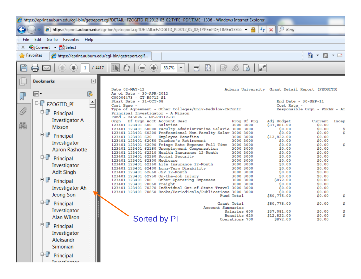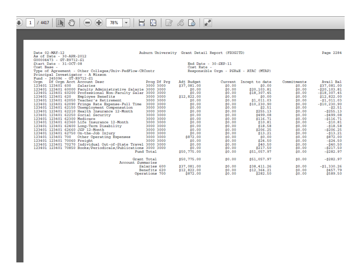#### $\mathbb{G}^{\prime}$  $\bigoplus$  $\overline{\mathbb{H}}$  $B$   $B$   $B$   $F$  $\oplus$ €  $\mathbb{R}$  $\mathbf{1}$  $/4417$  $\bigodot$ 78%  $\overline{\phantom{a}}$

Page 2284

| Date 02-MAY-12                                               |                | Auburn University Grant Detail Report (FZOGITD) |                                        |                |             | Page 2284      |
|--------------------------------------------------------------|----------------|-------------------------------------------------|----------------------------------------|----------------|-------------|----------------|
| As of Date - 30-APR-2012                                     |                |                                                 |                                        |                |             |                |
| G00004473 - GT-R9712-S1                                      |                |                                                 |                                        |                |             |                |
| Start Date - 31-OCT-08                                       |                | End Date - 30-SEP-11                            |                                        |                |             |                |
| Cost Base -                                                  |                | Cost Rate -                                     |                                        |                |             |                |
| Type of Agreement - Other Colleges/Univ-FedFlow-CRContr      |                |                                                 | Responsible Orgn - PSR&E - ATAC (MTAP) |                |             |                |
| Principal Investigator - A Mixson                            |                |                                                 |                                        |                |             |                |
| Fund - 245096 - GT-R9712-S1                                  |                |                                                 |                                        |                |             |                |
| Df Orgn Acct Account Desc<br>Orgn                            | Prog Df Prg    | Adj Budget                                      | Current                                | Incept to date | Commitments | Avail Bal      |
| 123401 123401 600 Salaries                                   | 3000 3000      | \$37,081.00                                     | \$0.00                                 | \$0.00         | \$0.00      | \$37,081.00    |
| 123401 123401 60000 Faculty Administrative Salarie 3000 3000 |                | \$0.00                                          | \$0.00                                 | \$20,103.81    | \$0.00      | $-20, 103.81$  |
| 123401 123401 60200 Professional Non-Faculty Salar 3000 3000 |                | \$0.00                                          | \$0.00                                 | \$18,307.45    | \$0.00      | $- $18,307.45$ |
| 123401 123401 620<br>Employee Benefits                       | 3000 3000      | \$12,822.00                                     | \$0.00                                 | \$0.00         | \$0.00      | \$12,822.00    |
| 123401 123401 62050 Teacher's Retirement                     | 3000 3000      | \$0.00                                          | \$0.00                                 | \$1,011.03     | \$0.00      | $-$ \$1,011.03 |
| 123401 123401 62090 Fringe Rate Expense-Full Time 3000 3000  |                | \$0.00                                          | \$0.00                                 | \$10,230.90    | \$0.00      | $-$10,230.90$  |
| 123401 123401 62150 Unemployment Compensation                | 3000 3000      | \$0.00                                          | \$0.00                                 | \$2.51         | \$0.00      | $-52.51$       |
| 123401 123401 62210 Health Insurance 12-Month                | 3000 3000      | \$0.00                                          | \$0.00                                 | \$255.13       | \$0.00      | $-2255.13$     |
| 123401 123401 62250 Social Security                          | 3000 3000      | \$0.00                                          | \$0.00                                 | \$499.08       | \$0.00      | $-5499.08$     |
| 123401 123401 62300 Medicare                                 | 3000 3000      | \$0.00                                          | \$0.00                                 | \$116.71       | \$0.00      | $-5116.71$     |
| 123401 123401 62360 Life Insurance 12-Month                  | 3000 3000      | \$0.00                                          | \$0.00                                 | \$10.81        | \$0.00      | $- $10.81$     |
| 123401 123401 62400 Long-Term Disability                     | 3000 3000      | \$0.00                                          | \$0.00                                 | \$18.58        | \$0.00      | $- $18.58$     |
| 123401 123401 62660 JSP 12-Month                             | 3000 3000      | \$0.00                                          | \$0.00                                 | \$206.25       | \$0.00      | $- $206.25$    |
| 123401 123401 62750 On-the-Job Injury                        | 3000 3000      | \$0.00                                          | \$0.00                                 | \$13.21        | \$0.00      | -\$13.21       |
| 123401 123401 700 Other Operating Expenses                   | 3000 3000      | \$872.00                                        | \$0.00 00                              | \$0.00         | \$0.00      | \$872.00       |
| 123401 123401 70060 Freight                                  | 3000 3000      | \$0.00                                          | \$0.00                                 | \$24.50        | \$0.00      | $-524.50$      |
| 123401 123401 70270 Individual Out-of-State Travel 3000 3000 |                | \$0.00                                          | \$0.00                                 | \$40.50        | \$0.00      | $-540.50$      |
| 123401 123401 70850 Books/Periodicals/Publications 3000 3000 |                | \$0.00                                          | \$0.00                                 | \$217.50       | \$0.00      | $- $217.50$    |
|                                                              | Fund Total     | \$50,775.00                                     | \$0.00                                 | \$51,057.97    | \$0.00      | $-5282.97$     |
|                                                              | Grant Total    | \$50,775.00                                     | \$0.00                                 | \$51,057.97    | \$0.00      | $-5282.97$     |
| Account Summaries                                            |                |                                                 |                                        |                |             |                |
|                                                              | Salaries 600   | \$37,081.00                                     | \$0.00                                 | \$38,411.26    | \$0.00      | $-$1,330.26$   |
|                                                              | Benefits 620   | \$12,822.00                                     | \$0.00                                 | \$12,364.21    | \$0.00      | \$457.79       |
|                                                              | Operations 700 | \$872.00                                        | \$0.00                                 | \$282.50       | \$0.00      | \$589.50       |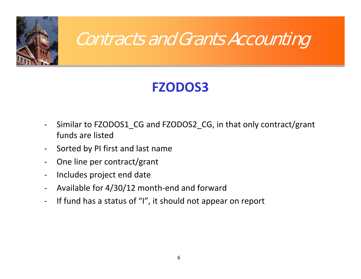

# Contracts and Grants Accounting

### **FZODOS3**

- $\overline{\phantom{a}}$  Similar to FZODOS1\_CG and FZODOS2\_CG, in that only contract/grant funds are listed
- $\blacksquare$ - Sorted by PI first and last name
- ‐- One line per contract/grant
- ‐- Includes project end date
- $\blacksquare$ Available for 4/30/12 month‐end and forward
- $\blacksquare$ - If fund has a status of "I", it should not appear on report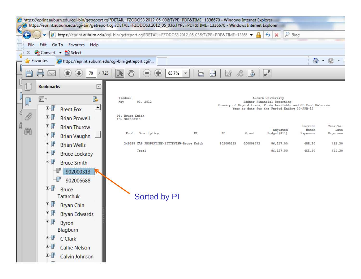| https://eprint.auburn.edu/cqi-bin/getreport.cqi?DETAIL=FZODOS3.2012 05 03&TYPE=PDF&TIME=1336670 - Windows Internet Explorer<br>https://eprint.auburn.edu/cgi-bin/getreport.cgi?DETAIL=FZODOS3.2012_05_03&TYPE=PDF&TIME=1336670 - Windows Internet Explorer |                                                                                                  |                   |                                                                    |                |                                        |                                             |    |           |           |                                                                                                                                                                  |                              |                              |  |
|------------------------------------------------------------------------------------------------------------------------------------------------------------------------------------------------------------------------------------------------------------|--------------------------------------------------------------------------------------------------|-------------------|--------------------------------------------------------------------|----------------|----------------------------------------|---------------------------------------------|----|-----------|-----------|------------------------------------------------------------------------------------------------------------------------------------------------------------------|------------------------------|------------------------------|--|
| Ω<br>https://eprint.auburn.edu/cgi-bin/getreport.cgi?DETAIL=FZODOS3.2012_05_03&TYPE=PDF&TIME=13366<br>Bing<br>↮<br>x                                                                                                                                       |                                                                                                  |                   |                                                                    |                |                                        |                                             |    |           |           |                                                                                                                                                                  |                              |                              |  |
|                                                                                                                                                                                                                                                            | Edit<br>Go To Favorites Help<br>File                                                             |                   |                                                                    |                |                                        |                                             |    |           |           |                                                                                                                                                                  |                              |                              |  |
|                                                                                                                                                                                                                                                            | Convert v A Select<br>x.                                                                         |                   |                                                                    |                |                                        |                                             |    |           |           |                                                                                                                                                                  |                              |                              |  |
|                                                                                                                                                                                                                                                            | <b>Favorites</b><br>合<br>https://eprint.auburn.edu/cgi-bin/getreport.cgi?<br>同<br>$\overline{ }$ |                   |                                                                    |                |                                        |                                             |    |           |           |                                                                                                                                                                  |                              |                              |  |
| ᄖ<br>▞<br>83.7%<br>70<br>₩<br>725                                                                                                                                                                                                                          |                                                                                                  |                   |                                                                    |                |                                        |                                             |    |           |           |                                                                                                                                                                  |                              |                              |  |
|                                                                                                                                                                                                                                                            |                                                                                                  | <b>Bookmarks</b>  | $\boxed{4}$                                                        |                |                                        |                                             |    |           |           |                                                                                                                                                                  |                              |                              |  |
|                                                                                                                                                                                                                                                            | D                                                                                                | 8∃∙<br>中『         | ß<br>$\triangleq$<br><b>Brent Fox</b>                              | fzodos3<br>May | 03, 2012                               |                                             |    |           |           | Auburn University<br>Banner Financial Reporting<br>Summary of Expenditures, Funds Available and GL Fund Balances<br>Year to date for the Period Ending 30-APR-12 |                              |                              |  |
|                                                                                                                                                                                                                                                            | 197<br>鼡                                                                                         | 中『<br>中ぽ<br>中課    | <b>Brian Prowell</b><br><b>Brian Thurow</b><br><b>Brian Vaughn</b> | ID: 902000313  | PI: Bruce Smith<br>Description<br>Fund |                                             | РI | ID        | Grant     | Adjusted<br>Budget (A11)                                                                                                                                         | Current<br>Month<br>Expenses | Year-To-<br>Date<br>Expenses |  |
|                                                                                                                                                                                                                                                            |                                                                                                  | 中子                | <b>Brian Wells</b>                                                 |                |                                        | 249268 CAP PROPERTIES-PITTSVIEW-Bruce Smith |    | 902000313 | G00006472 | 86,127.00                                                                                                                                                        | 455.30                       | 455.30                       |  |
|                                                                                                                                                                                                                                                            |                                                                                                  | $\mathbb{J}$<br>电 | <b>Bruce Lockaby</b>                                               |                | Total                                  |                                             |    |           |           | 86,127.00                                                                                                                                                        | 455.30                       | 455.30                       |  |
|                                                                                                                                                                                                                                                            |                                                                                                  | 中課                | <b>Bruce Smith</b><br>902000313<br>P<br>902006688                  |                |                                        |                                             |    |           |           |                                                                                                                                                                  |                              |                              |  |
|                                                                                                                                                                                                                                                            |                                                                                                  | ₩<br>围            | <b>Bruce</b><br><b>Tatarchuk</b>                                   |                | <b>Sorted by PI</b>                    |                                             |    |           |           |                                                                                                                                                                  |                              |                              |  |
|                                                                                                                                                                                                                                                            |                                                                                                  | 电制<br>电           | <b>Bryan Chin</b><br><b>Bryan Edwards</b>                          |                |                                        |                                             |    |           |           |                                                                                                                                                                  |                              |                              |  |
|                                                                                                                                                                                                                                                            |                                                                                                  | 中了                | <b>Byron</b><br>Blagburn                                           |                |                                        |                                             |    |           |           |                                                                                                                                                                  |                              |                              |  |
|                                                                                                                                                                                                                                                            |                                                                                                  | 电具                | C Clark                                                            |                |                                        |                                             |    |           |           |                                                                                                                                                                  |                              |                              |  |
|                                                                                                                                                                                                                                                            |                                                                                                  | 电报                | <b>Callie Nelson</b>                                               |                |                                        |                                             |    |           |           |                                                                                                                                                                  |                              |                              |  |
|                                                                                                                                                                                                                                                            |                                                                                                  | 中心                | Calvin Johnson                                                     |                |                                        |                                             |    |           |           |                                                                                                                                                                  |                              |                              |  |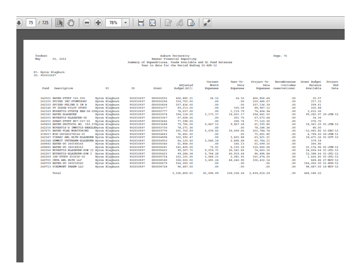#### $B$  &  $B$  $\sqrt{2}$ **IF ①**  $\bigoplus$  $\mathbb{H}$  $\oplus$  $75 \mid 725$  $\bigoplus$  $\left( \blacksquare \right)$ 78%  $\overline{\phantom{a}}$

fzodos3 03, 2012 May

Auburn University<br>Banner Financial Reporting Summary of Expenditures, Funds Available and GL Fund Balances<br>Year to date for the Period Ending 30-APR-12 Page: 75

PI: Byron Blagburn<br>ID: 902010597

| Fund | Description                                    | РI             | ID        | Grant            | Adjusted<br>Budget (All) | Current<br>Month<br>Expenses | Year-To-<br>Date<br>Expenses | Project-To-<br>Date<br>Expenses | Encumbrances<br>(includes<br>reservations) | Grant Budget<br>Balance<br>Available | Project<br>End<br>Date |
|------|------------------------------------------------|----------------|-----------|------------------|--------------------------|------------------------------|------------------------------|---------------------------------|--------------------------------------------|--------------------------------------|------------------------|
|      | 242001 BAYER-STUDY 150.935                     | Byron Blagburn | 902010597 | G00000002        | 456,882.21               | 24.15                        | 24.15                        | 456,856.64                      | .00                                        | 25.57                                |                        |
|      | 251220 PFIZER INC-PYGMYGOAT                    | Byron Blagburn | 902010597 | G00000294        | 159,703.00               | .00                          | .00                          | 159,485.67                      | .00                                        | 217.33                               |                        |
|      | 242102 PFIZER-FELINE D IM B                    | Byron Blagburn | 902010597 | <b>G00000608</b> | 207,436.00               | .00                          | .00                          | 207, 136, 39                    | .00                                        | 299.61                               |                        |
|      | 242146 FT DODGE-PILOT STUDY                    | Byron Blagburn | 902010597 | G00002277        | 89,213.00                | .00                          | 335.09                       | 88,987.12                       | .00                                        | 225.88                               |                        |
|      | 242169 NOVARTIS-STUDY# NAH-06-00Byron Blagburn |                | 902010597 | G00002777        | 78,037.00                | .00                          | 1,119.79                     | 74,404.94                       | .00                                        | 3,632.06                             |                        |
|      | 242183 BAYER-BLACBURN                          | Byron Blagburn | 902010597 | G00002978        | 394, 124.00              | 3,173.37                     | 18,601.17                    | 294,841.03                      | .00                                        | 99, 282.97 30-JUN-12                 |                        |
|      | 242203 NOVARTIS-BLACBURN-08                    | Byron Blagburn | 902010597 | G00003367        | 57,608.00                | .00                          | 251.75                       | 57.573.64                       | .00                                        | 34.36                                |                        |
|      | 242211 SPAHC-STUDY N07-037-01                  | Byron Blagburn | 902010597 | G00003645        | 77,398.00                | .00                          | 205.74                       | 77,122.30                       | .00                                        | 275.70                               |                        |
|      | 249659 BAYER-PROTOCOL NO. 152.07Byron Blagburn |                | 902010597 | G00003688        | 79,755.00                | 9.847.12                     | 9.857.28                     | 61,393.80                       | .00                                        | 18,361.20 01-JUN-12                  |                        |
|      | 242216 NOVARTIS-D IMMITIS-BEAGLEByron Blagburn |                | 902010597 | G00003730        | 78, 271.36               | .00                          | .00                          | 78,186.36                       | .00                                        | 85.00                                |                        |
|      | 247571 BAYER-FLEA MONITORING                   | Byron Blagburn | 902010597 | G00003776        | 291,702.89               | 5,576.82                     | 39,099.65                    | 303, 784.74                     | .00                                        | $-12,081.85$ 31-DEC-12               |                        |
|      | 219037 NIH-1R03AI078154-01                     | Byron Blagburn | 902010597 | C00004653        | 76,451.00                | .00                          | .00                          | 71,651.80                       | .00                                        | 4,799.20 30-JUN-11                   |                        |
|      | 242247 VIRBAC ANL HLTH-BLACBURN Byron Blagburn |                | 902010597 | G00004898        | 102, 992.47              | .00                          | 3,833.88                     | 63,521.21                       | .00                                        | 39.471.26 01-OCT-12                  |                        |
|      | 242248 SUMMIT VETPHARM-BLACBURN Byron Blagburn |                | 902010597 | C00004910        | 54, 133.50               | 2,545.18                     | 2,895.58                     | 53,754.11                       | .00.                                       | 379.39                               |                        |
|      | 249682 BAYER-PO 260188155                      | Byron Blagburn | 902010597 | G00005040        | 51,856.00                | .00                          | 165.13                       | 51,599.15                       | .00                                        | 256.85                               |                        |
|      | 249683 BAYER-DO 260188153                      | Byron Blagburn | 902010597 | G00005041        | 141,825.00               | 73.01                        | 5.133.16                     | 120,650.05                      | .00                                        | 21.174.95 01-JUN-12                  |                        |
|      | 242256 NOVARTIS-BLACBURN-SOW II                | Byron Blagburn | 902010597 | G00005422        | 99.267.70                | 9.039.71                     | 25, 341.65                   | 74.663.16                       | .00                                        | 24,604.54 31-JUL-12                  |                        |
|      | 242257 NOVARTIS-BLACBURN-SOW I                 | Byron Blagburn | 902010597 | G00005423        | 99,284.38                | 5.756.28                     | 40,919.49                    | 86,895.84                       | .00                                        | 12,388.54 31-JUL-12                  |                        |
|      | 242269 ISP-STUDY S10036-00                     | Byron Blagburn | 902010597 | G00005734        | 153,101.00               | 2,068.21                     | 2,081.93                     | 151,674.20                      | .00                                        | 1,426.80 01-JUL-12                   |                        |
|      | 249701 CEVA ANL HLTH LLC                       | Byron Blagburn | 902010597 | C00006180        | 106,022.00               | 3.491.24                     | 68,240.90                    | 105, 432.14                     | .00                                        |                                      | 589.86 27-NOV-12       |
|      | 249709 BAYER-PO 260239040                      | Byron Blagburn | 902010597 | G00006579        | 154,250.00               | .00                          | .00                          | .00                             | .00                                        | 154, 250.00 31-AUG-12                |                        |
|      | 249713 PIEDMONT PHARM LLC                      | Byron Blagburn | 902010597 | G00006728        | 96,487.00                | .00                          | .00                          | .00                             | .00                                        | 96.487.00 15-NOV-12                  |                        |
|      | Total                                          |                |           |                  | 3.105.800.51             | 41,595.09                    | 218, 106, 34                 | 2.639.614.29                    | .00                                        | 466,186.22                           |                        |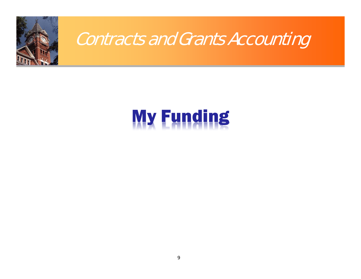

# My Funding